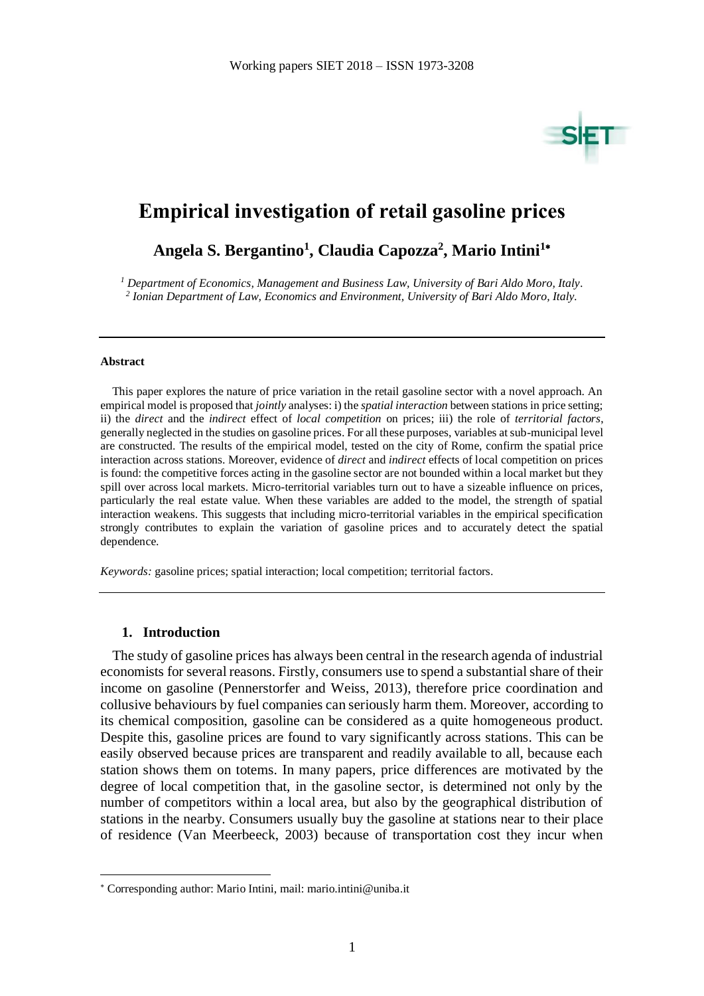

# **Empirical investigation of retail gasoline prices**

**Angela S. Bergantino<sup>1</sup> , Claudia Capozza<sup>2</sup> , Mario Intini<sup>1</sup>**

*<sup>1</sup> Department of Economics, Management and Business Law, University of Bari Aldo Moro, Italy. 2 Ionian Department of Law, Economics and Environment, University of Bari Aldo Moro, Italy.*

#### **Abstract**

This paper explores the nature of price variation in the retail gasoline sector with a novel approach. An empirical model is proposed that *jointly* analyses: i) the *spatial interaction* between stations in price setting; ii) the *direct* and the *indirect* effect of *local competition* on prices; iii) the role of *territorial factors*, generally neglected in the studies on gasoline prices. For all these purposes, variables at sub-municipal level are constructed. The results of the empirical model, tested on the city of Rome, confirm the spatial price interaction across stations. Moreover, evidence of *direct* and *indirect* effects of local competition on prices is found: the competitive forces acting in the gasoline sector are not bounded within a local market but they spill over across local markets. Micro-territorial variables turn out to have a sizeable influence on prices, particularly the real estate value. When these variables are added to the model, the strength of spatial interaction weakens. This suggests that including micro-territorial variables in the empirical specification strongly contributes to explain the variation of gasoline prices and to accurately detect the spatial dependence.

*Keywords:* gasoline prices; spatial interaction; local competition; territorial factors.

### **1. Introduction**

1

The study of gasoline prices has always been central in the research agenda of industrial economists for several reasons. Firstly, consumers use to spend a substantial share of their income on gasoline (Pennerstorfer and Weiss, 2013), therefore price coordination and collusive behaviours by fuel companies can seriously harm them. Moreover, according to its chemical composition, gasoline can be considered as a quite homogeneous product. Despite this, gasoline prices are found to vary significantly across stations. This can be easily observed because prices are transparent and readily available to all, because each station shows them on totems. In many papers, price differences are motivated by the degree of local competition that, in the gasoline sector, is determined not only by the number of competitors within a local area, but also by the geographical distribution of stations in the nearby. Consumers usually buy the gasoline at stations near to their place of residence (Van Meerbeeck, 2003) because of transportation cost they incur when

Corresponding author: Mario Intini, mail: mario.intini@uniba.it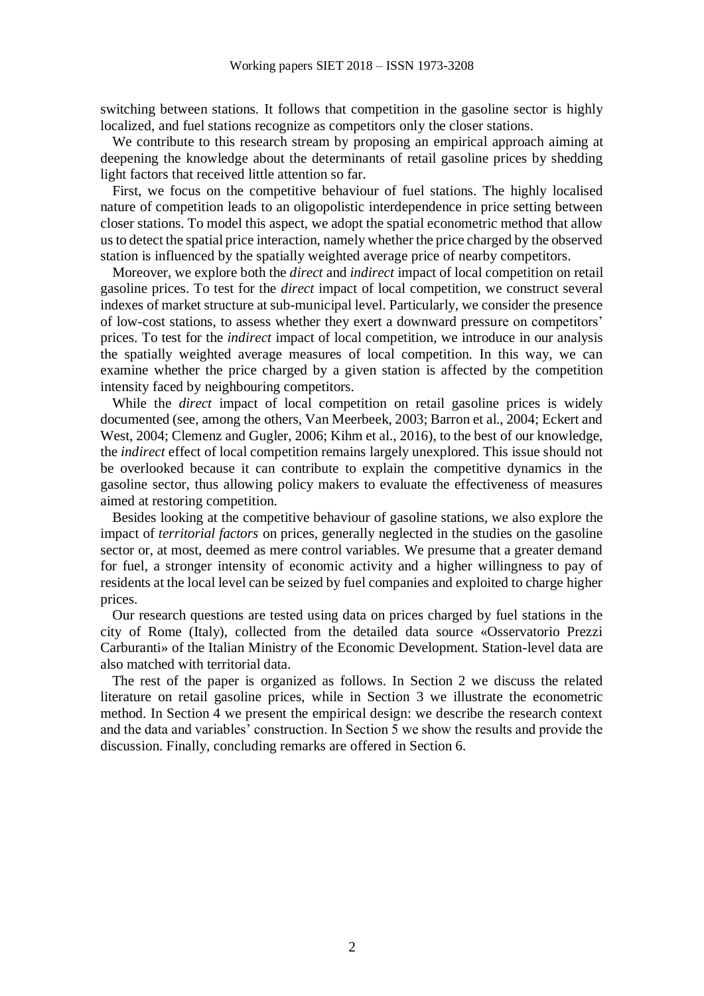switching between stations. It follows that competition in the gasoline sector is highly localized, and fuel stations recognize as competitors only the closer stations.

We contribute to this research stream by proposing an empirical approach aiming at deepening the knowledge about the determinants of retail gasoline prices by shedding light factors that received little attention so far.

First, we focus on the competitive behaviour of fuel stations. The highly localised nature of competition leads to an oligopolistic interdependence in price setting between closer stations. To model this aspect, we adopt the spatial econometric method that allow us to detect the spatial price interaction, namely whether the price charged by the observed station is influenced by the spatially weighted average price of nearby competitors.

Moreover, we explore both the *direct* and *indirect* impact of local competition on retail gasoline prices. To test for the *direct* impact of local competition, we construct several indexes of market structure at sub-municipal level. Particularly, we consider the presence of low-cost stations, to assess whether they exert a downward pressure on competitors' prices. To test for the *indirect* impact of local competition, we introduce in our analysis the spatially weighted average measures of local competition. In this way, we can examine whether the price charged by a given station is affected by the competition intensity faced by neighbouring competitors.

While the *direct* impact of local competition on retail gasoline prices is widely documented (see, among the others, Van Meerbeek, 2003; Barron et al., 2004; Eckert and West, 2004; Clemenz and Gugler, 2006; Kihm et al., 2016), to the best of our knowledge, the *indirect* effect of local competition remains largely unexplored. This issue should not be overlooked because it can contribute to explain the competitive dynamics in the gasoline sector, thus allowing policy makers to evaluate the effectiveness of measures aimed at restoring competition.

Besides looking at the competitive behaviour of gasoline stations, we also explore the impact of *territorial factors* on prices, generally neglected in the studies on the gasoline sector or, at most, deemed as mere control variables. We presume that a greater demand for fuel, a stronger intensity of economic activity and a higher willingness to pay of residents at the local level can be seized by fuel companies and exploited to charge higher prices.

Our research questions are tested using data on prices charged by fuel stations in the city of Rome (Italy), collected from the detailed data source «Osservatorio Prezzi Carburanti» of the Italian Ministry of the Economic Development. Station-level data are also matched with territorial data.

The rest of the paper is organized as follows. In Section 2 we discuss the related literature on retail gasoline prices, while in Section 3 we illustrate the econometric method. In Section 4 we present the empirical design: we describe the research context and the data and variables' construction. In Section 5 we show the results and provide the discussion. Finally, concluding remarks are offered in Section 6.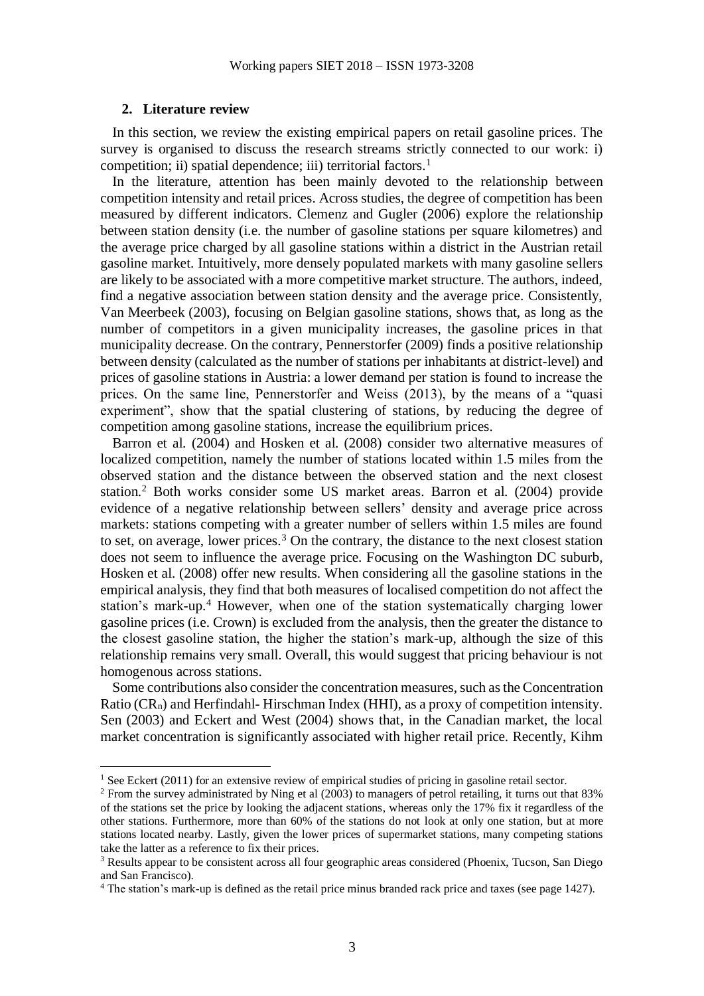#### **2. Literature review**

1

In this section, we review the existing empirical papers on retail gasoline prices. The survey is organised to discuss the research streams strictly connected to our work: i) competition; ii) spatial dependence; iii) territorial factors.<sup>1</sup>

In the literature, attention has been mainly devoted to the relationship between competition intensity and retail prices. Across studies, the degree of competition has been measured by different indicators. Clemenz and Gugler (2006) explore the relationship between station density (i.e. the number of gasoline stations per square kilometres) and the average price charged by all gasoline stations within a district in the Austrian retail gasoline market. Intuitively, more densely populated markets with many gasoline sellers are likely to be associated with a more competitive market structure. The authors, indeed, find a negative association between station density and the average price. Consistently, Van Meerbeek (2003), focusing on Belgian gasoline stations, shows that, as long as the number of competitors in a given municipality increases, the gasoline prices in that municipality decrease. On the contrary, Pennerstorfer (2009) finds a positive relationship between density (calculated as the number of stations per inhabitants at district-level) and prices of gasoline stations in Austria: a lower demand per station is found to increase the prices. On the same line, Pennerstorfer and Weiss (2013), by the means of a "quasi experiment", show that the spatial clustering of stations, by reducing the degree of competition among gasoline stations, increase the equilibrium prices.

Barron et al. (2004) and Hosken et al. (2008) consider two alternative measures of localized competition, namely the number of stations located within 1.5 miles from the observed station and the distance between the observed station and the next closest station.<sup>2</sup> Both works consider some US market areas. Barron et al. (2004) provide evidence of a negative relationship between sellers' density and average price across markets: stations competing with a greater number of sellers within 1.5 miles are found to set, on average, lower prices.<sup>3</sup> On the contrary, the distance to the next closest station does not seem to influence the average price. Focusing on the Washington DC suburb, Hosken et al. (2008) offer new results. When considering all the gasoline stations in the empirical analysis, they find that both measures of localised competition do not affect the station's mark-up.<sup>4</sup> However, when one of the station systematically charging lower gasoline prices (i.e. Crown) is excluded from the analysis, then the greater the distance to the closest gasoline station, the higher the station's mark-up, although the size of this relationship remains very small. Overall, this would suggest that pricing behaviour is not homogenous across stations.

Some contributions also consider the concentration measures, such as the Concentration Ratio  $(CR_n)$  and Herfindahl-Hirschman Index (HHI), as a proxy of competition intensity. Sen (2003) and Eckert and West (2004) shows that, in the Canadian market, the local market concentration is significantly associated with higher retail price. Recently, Kihm

<sup>&</sup>lt;sup>1</sup> See Eckert (2011) for an extensive review of empirical studies of pricing in gasoline retail sector.

<sup>2</sup> From the survey administrated by Ning et al (2003) to managers of petrol retailing, it turns out that 83% of the stations set the price by looking the adjacent stations, whereas only the 17% fix it regardless of the other stations. Furthermore, more than 60% of the stations do not look at only one station, but at more stations located nearby. Lastly, given the lower prices of supermarket stations, many competing stations take the latter as a reference to fix their prices.

<sup>3</sup> Results appear to be consistent across all four geographic areas considered (Phoenix, Tucson, San Diego and San Francisco).

<sup>4</sup> The station's mark-up is defined as the retail price minus branded rack price and taxes (see page 1427).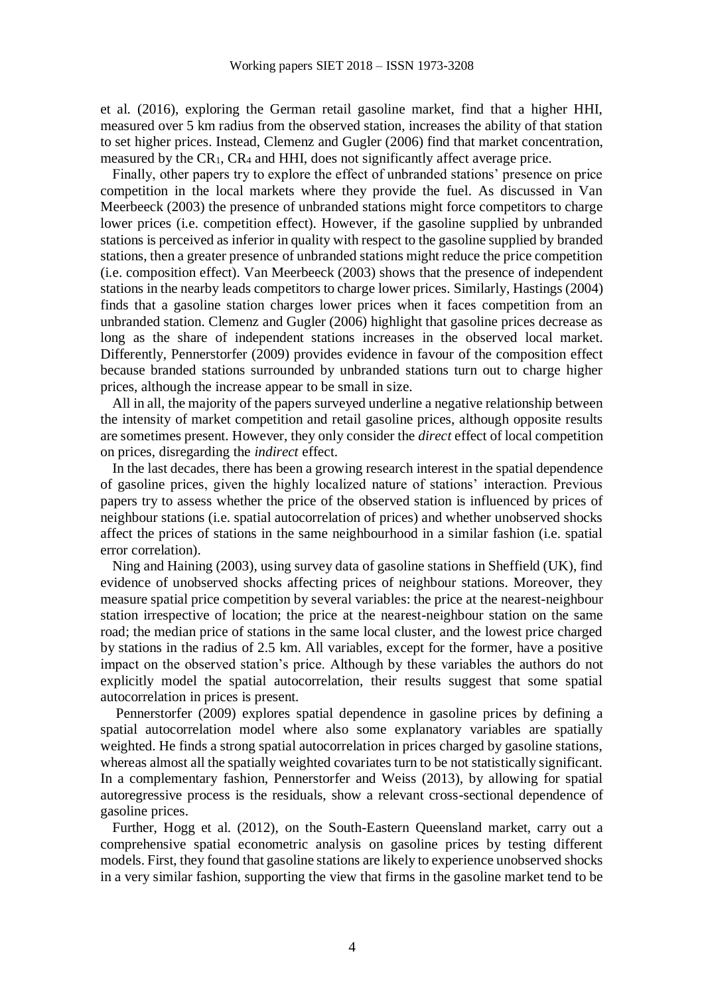et al. (2016), exploring the German retail gasoline market, find that a higher HHI, measured over 5 km radius from the observed station, increases the ability of that station to set higher prices. Instead, Clemenz and Gugler (2006) find that market concentration, measured by the CR1, CR<sup>4</sup> and HHI, does not significantly affect average price.

Finally, other papers try to explore the effect of unbranded stations' presence on price competition in the local markets where they provide the fuel. As discussed in Van Meerbeeck (2003) the presence of unbranded stations might force competitors to charge lower prices (i.e. competition effect). However, if the gasoline supplied by unbranded stations is perceived as inferior in quality with respect to the gasoline supplied by branded stations, then a greater presence of unbranded stations might reduce the price competition (i.e. composition effect). Van Meerbeeck (2003) shows that the presence of independent stations in the nearby leads competitors to charge lower prices. Similarly, Hastings (2004) finds that a gasoline station charges lower prices when it faces competition from an unbranded station. Clemenz and Gugler (2006) highlight that gasoline prices decrease as long as the share of independent stations increases in the observed local market. Differently, Pennerstorfer (2009) provides evidence in favour of the composition effect because branded stations surrounded by unbranded stations turn out to charge higher prices, although the increase appear to be small in size.

All in all, the majority of the papers surveyed underline a negative relationship between the intensity of market competition and retail gasoline prices, although opposite results are sometimes present. However, they only consider the *direct* effect of local competition on prices, disregarding the *indirect* effect.

In the last decades, there has been a growing research interest in the spatial dependence of gasoline prices, given the highly localized nature of stations' interaction. Previous papers try to assess whether the price of the observed station is influenced by prices of neighbour stations (i.e. spatial autocorrelation of prices) and whether unobserved shocks affect the prices of stations in the same neighbourhood in a similar fashion (i.e. spatial error correlation).

Ning and Haining (2003), using survey data of gasoline stations in Sheffield (UK), find evidence of unobserved shocks affecting prices of neighbour stations. Moreover, they measure spatial price competition by several variables: the price at the nearest-neighbour station irrespective of location; the price at the nearest-neighbour station on the same road; the median price of stations in the same local cluster, and the lowest price charged by stations in the radius of 2.5 km. All variables, except for the former, have a positive impact on the observed station's price. Although by these variables the authors do not explicitly model the spatial autocorrelation, their results suggest that some spatial autocorrelation in prices is present.

Pennerstorfer (2009) explores spatial dependence in gasoline prices by defining a spatial autocorrelation model where also some explanatory variables are spatially weighted. He finds a strong spatial autocorrelation in prices charged by gasoline stations, whereas almost all the spatially weighted covariates turn to be not statistically significant. In a complementary fashion, Pennerstorfer and Weiss (2013), by allowing for spatial autoregressive process is the residuals, show a relevant cross-sectional dependence of gasoline prices.

Further, Hogg et al. (2012), on the South-Eastern Queensland market, carry out a comprehensive spatial econometric analysis on gasoline prices by testing different models. First, they found that gasoline stations are likely to experience unobserved shocks in a very similar fashion, supporting the view that firms in the gasoline market tend to be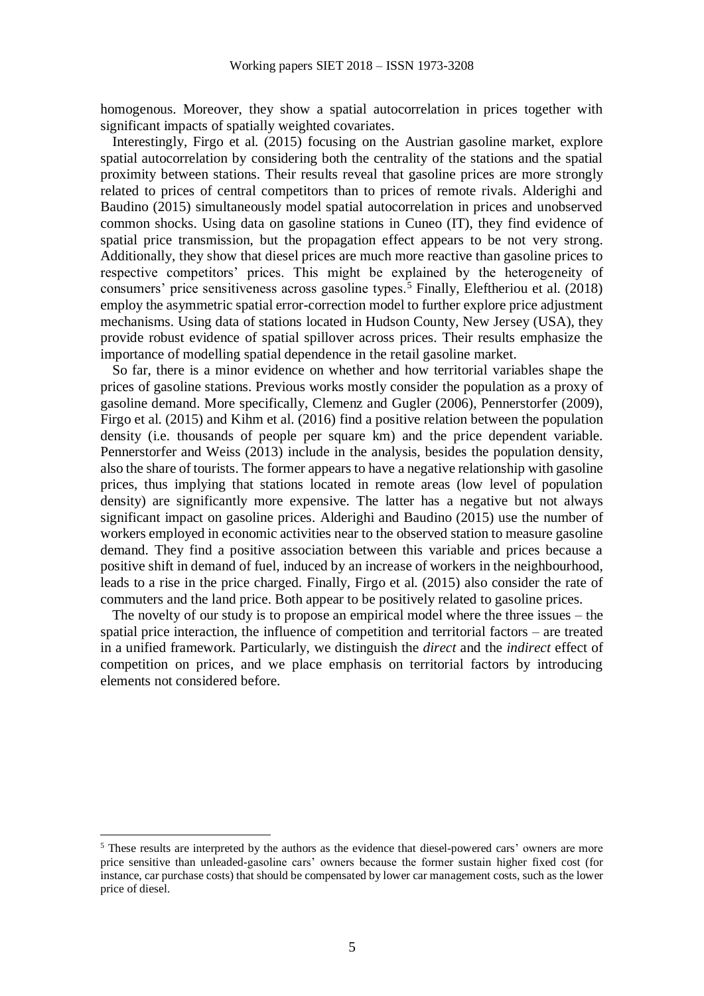homogenous. Moreover, they show a spatial autocorrelation in prices together with significant impacts of spatially weighted covariates.

Interestingly, Firgo et al. (2015) focusing on the Austrian gasoline market, explore spatial autocorrelation by considering both the centrality of the stations and the spatial proximity between stations. Their results reveal that gasoline prices are more strongly related to prices of central competitors than to prices of remote rivals. Alderighi and Baudino (2015) simultaneously model spatial autocorrelation in prices and unobserved common shocks. Using data on gasoline stations in Cuneo (IT), they find evidence of spatial price transmission, but the propagation effect appears to be not very strong. Additionally, they show that diesel prices are much more reactive than gasoline prices to respective competitors' prices. This might be explained by the heterogeneity of consumers' price sensitiveness across gasoline types.<sup>5</sup> Finally, Eleftheriou et al. (2018) employ the asymmetric spatial error-correction model to further explore price adjustment mechanisms. Using data of stations located in Hudson County, New Jersey (USA), they provide robust evidence of spatial spillover across prices. Their results emphasize the importance of modelling spatial dependence in the retail gasoline market.

So far, there is a minor evidence on whether and how territorial variables shape the prices of gasoline stations. Previous works mostly consider the population as a proxy of gasoline demand. More specifically, Clemenz and Gugler (2006), Pennerstorfer (2009), Firgo et al. (2015) and Kihm et al. (2016) find a positive relation between the population density (i.e. thousands of people per square km) and the price dependent variable. Pennerstorfer and Weiss (2013) include in the analysis, besides the population density, also the share of tourists. The former appears to have a negative relationship with gasoline prices, thus implying that stations located in remote areas (low level of population density) are significantly more expensive. The latter has a negative but not always significant impact on gasoline prices. Alderighi and Baudino (2015) use the number of workers employed in economic activities near to the observed station to measure gasoline demand. They find a positive association between this variable and prices because a positive shift in demand of fuel, induced by an increase of workers in the neighbourhood, leads to a rise in the price charged. Finally, Firgo et al. (2015) also consider the rate of commuters and the land price. Both appear to be positively related to gasoline prices.

The novelty of our study is to propose an empirical model where the three issues – the spatial price interaction, the influence of competition and territorial factors – are treated in a unified framework. Particularly, we distinguish the *direct* and the *indirect* effect of competition on prices, and we place emphasis on territorial factors by introducing elements not considered before.

<u>.</u>

<sup>&</sup>lt;sup>5</sup> These results are interpreted by the authors as the evidence that diesel-powered cars' owners are more price sensitive than unleaded-gasoline cars' owners because the former sustain higher fixed cost (for instance, car purchase costs) that should be compensated by lower car management costs, such as the lower price of diesel.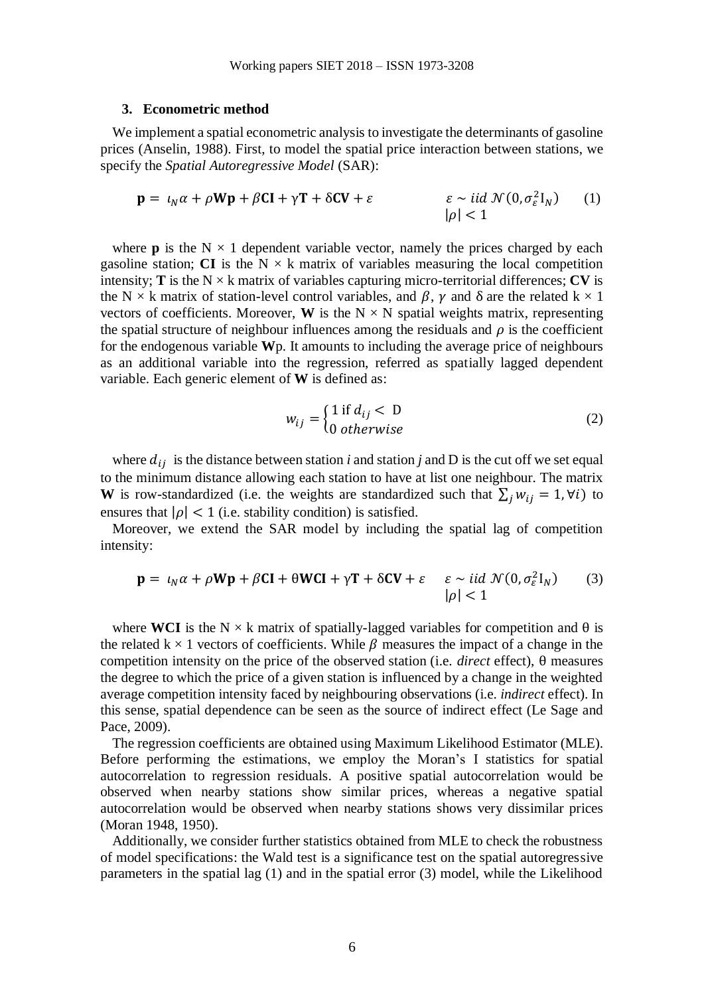#### **3. Econometric method**

We implement a spatial econometric analysis to investigate the determinants of gasoline prices (Anselin, 1988). First, to model the spatial price interaction between stations, we specify the *Spatial Autoregressive Model* (SAR):

$$
\mathbf{p} = \iota_N \alpha + \rho \mathbf{W} \mathbf{p} + \beta \mathbf{C} \mathbf{I} + \gamma \mathbf{T} + \delta \mathbf{C} \mathbf{V} + \varepsilon \qquad \qquad \varepsilon \sim \text{iid } \mathcal{N}(0, \sigma_{\varepsilon}^2 \mathbf{I}_N) \qquad (1)
$$

where **p** is the  $N \times 1$  dependent variable vector, namely the prices charged by each gasoline station; **CI** is the  $N \times k$  matrix of variables measuring the local competition intensity; **T** is the  $N \times k$  matrix of variables capturing micro-territorial differences; **CV** is the N  $\times$  k matrix of station-level control variables, and  $\beta$ ,  $\gamma$  and  $\delta$  are the related k  $\times$  1 vectors of coefficients. Moreover, **W** is the  $N \times N$  spatial weights matrix, representing the spatial structure of neighbour influences among the residuals and  $\rho$  is the coefficient for the endogenous variable **W**p. It amounts to including the average price of neighbours as an additional variable into the regression, referred as spatially lagged dependent variable. Each generic element of **W** is defined as:

$$
w_{ij} = \begin{cases} 1 \text{ if } d_{ij} < 0\\ 0 \text{ otherwise} \end{cases} \tag{2}
$$

where  $d_{ij}$  is the distance between station *i* and station *j* and D is the cut off we set equal to the minimum distance allowing each station to have at list one neighbour. The matrix **W** is row-standardized (i.e. the weights are standardized such that  $\sum_j w_{ij} = 1$ ,  $\forall i$ ) to ensures that  $|\rho| < 1$  (i.e. stability condition) is satisfied.

Moreover, we extend the SAR model by including the spatial lag of competition intensity:

$$
\mathbf{p} = \iota_N \alpha + \rho \mathbf{W} \mathbf{p} + \beta \mathbf{C} \mathbf{I} + \theta \mathbf{W} \mathbf{C} \mathbf{I} + \gamma \mathbf{T} + \delta \mathbf{C} \mathbf{V} + \varepsilon \quad \varepsilon \sim \text{iid } \mathcal{N}(0, \sigma_{\varepsilon}^2 \mathbf{I}_N) \tag{3}
$$

where **WCI** is the N  $\times$  k matrix of spatially-lagged variables for competition and  $\theta$  is the related k  $\times$  1 vectors of coefficients. While  $\beta$  measures the impact of a change in the competition intensity on the price of the observed station (i.e. *direct* effect), θ measures the degree to which the price of a given station is influenced by a change in the weighted average competition intensity faced by neighbouring observations (i.e. *indirect* effect). In this sense, spatial dependence can be seen as the source of indirect effect (Le Sage and Pace, 2009).

The regression coefficients are obtained using Maximum Likelihood Estimator (MLE). Before performing the estimations, we employ the Moran's I statistics for spatial autocorrelation to regression residuals. A positive spatial autocorrelation would be observed when nearby stations show similar prices, whereas a negative spatial autocorrelation would be observed when nearby stations shows very dissimilar prices (Moran 1948, 1950).

Additionally, we consider further statistics obtained from MLE to check the robustness of model specifications: the Wald test is a significance test on the spatial autoregressive parameters in the spatial lag (1) and in the spatial error (3) model, while the Likelihood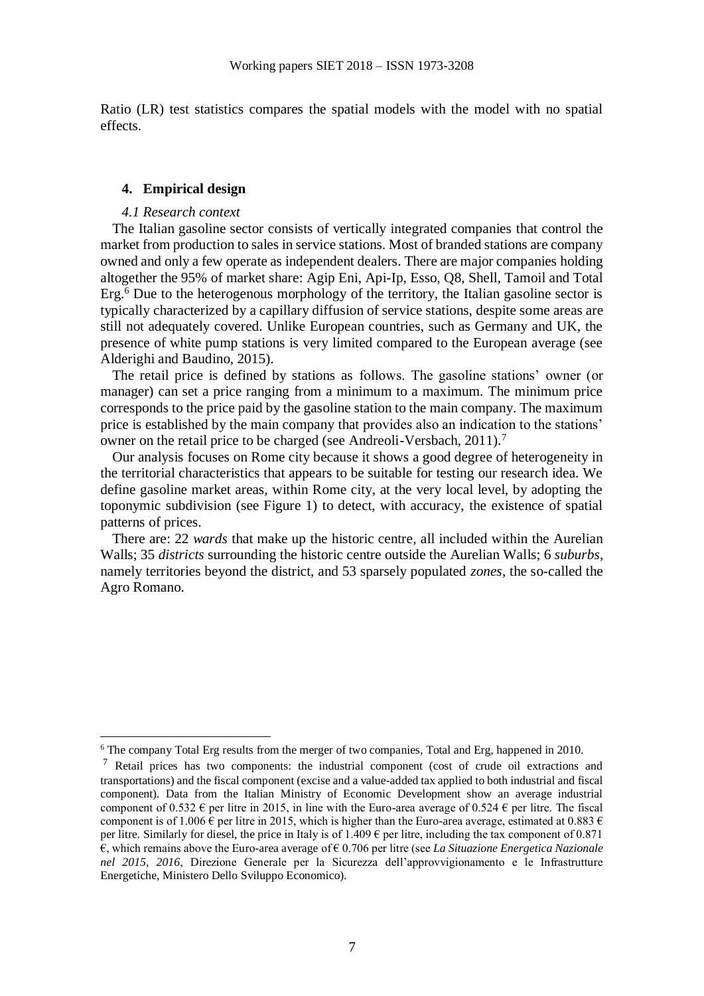Ratio (LR) test statistics compares the spatial models with the model with no spatial effects.

## **4. Empirical design**

#### *4.1 Research context*

1

The Italian gasoline sector consists of vertically integrated companies that control the market from production to sales in service stations. Most of branded stations are company owned and only a few operate as independent dealers. There are major companies holding altogether the 95% of market share: Agip Eni, Api-Ip, Esso, Q8, Shell, Tamoil and Total Erg.<sup>6</sup> Due to the heterogenous morphology of the territory, the Italian gasoline sector is typically characterized by a capillary diffusion of service stations, despite some areas are still not adequately covered. Unlike European countries, such as Germany and UK, the presence of white pump stations is very limited compared to the European average (see Alderighi and Baudino, 2015).

The retail price is defined by stations as follows. The gasoline stations' owner (or manager) can set a price ranging from a minimum to a maximum. The minimum price corresponds to the price paid by the gasoline station to the main company. The maximum price is established by the main company that provides also an indication to the stations' owner on the retail price to be charged (see Andreoli-Versbach, 2011).<sup>7</sup>

Our analysis focuses on Rome city because it shows a good degree of heterogeneity in the territorial characteristics that appears to be suitable for testing our research idea. We define gasoline market areas, within Rome city, at the very local level, by adopting the toponymic subdivision (see Figure 1) to detect, with accuracy, the existence of spatial patterns of prices.

There are: 22 *wards* that make up the historic centre, all included within the Aurelian Walls; 35 *districts* surrounding the historic centre outside the Aurelian Walls; 6 *suburbs*, namely territories beyond the district, and 53 sparsely populated *zones*, the so-called the Agro Romano.

 $6$  The company Total Erg results from the merger of two companies, Total and Erg, happened in 2010.

<sup>7</sup> Retail prices has two components: the industrial component (cost of crude oil extractions and transportations) and the fiscal component (excise and a value-added tax applied to both industrial and fiscal component). Data from the Italian Ministry of Economic Development show an average industrial component of 0.532  $\epsilon$  per litre in 2015, in line with the Euro-area average of 0.524  $\epsilon$  per litre. The fiscal component is of 1.006  $\overline{e}$  per litre in 2015, which is higher than the Euro-area average, estimated at 0.883  $\overline{e}$ per litre. Similarly for diesel, the price in Italy is of 1.409  $\epsilon$  per litre, including the tax component of 0.871 €, which remains above the Euro-area average of € 0.706 per litre (see *La Situazione Energetica Nazionale nel 2015, 2016*, Direzione Generale per la Sicurezza dell'approvvigionamento e le Infrastrutture Energetiche, Ministero Dello Sviluppo Economico).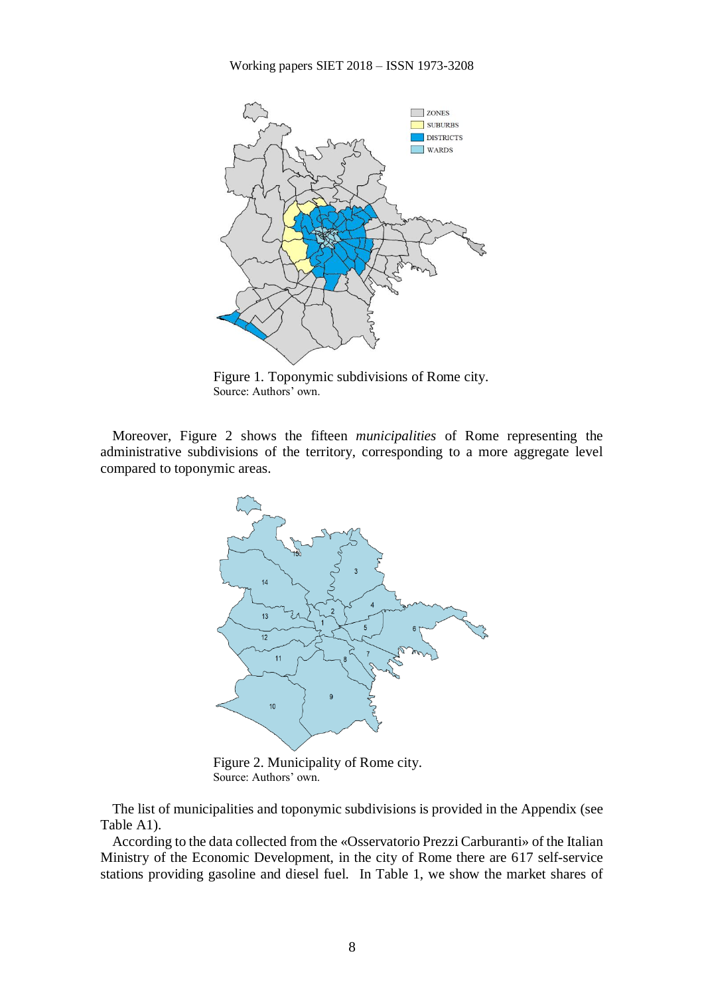

Figure 1. Toponymic subdivisions of Rome city. Source: Authors' own.

Moreover, Figure 2 shows the fifteen *municipalities* of Rome representing the administrative subdivisions of the territory, corresponding to a more aggregate level compared to toponymic areas.



Figure 2. Municipality of Rome city. Source: Authors' own.

The list of municipalities and toponymic subdivisions is provided in the Appendix (see Table A1).

According to the data collected from the «Osservatorio Prezzi Carburanti» of the Italian Ministry of the Economic Development, in the city of Rome there are 617 self-service stations providing gasoline and diesel fuel. In Table 1, we show the market shares of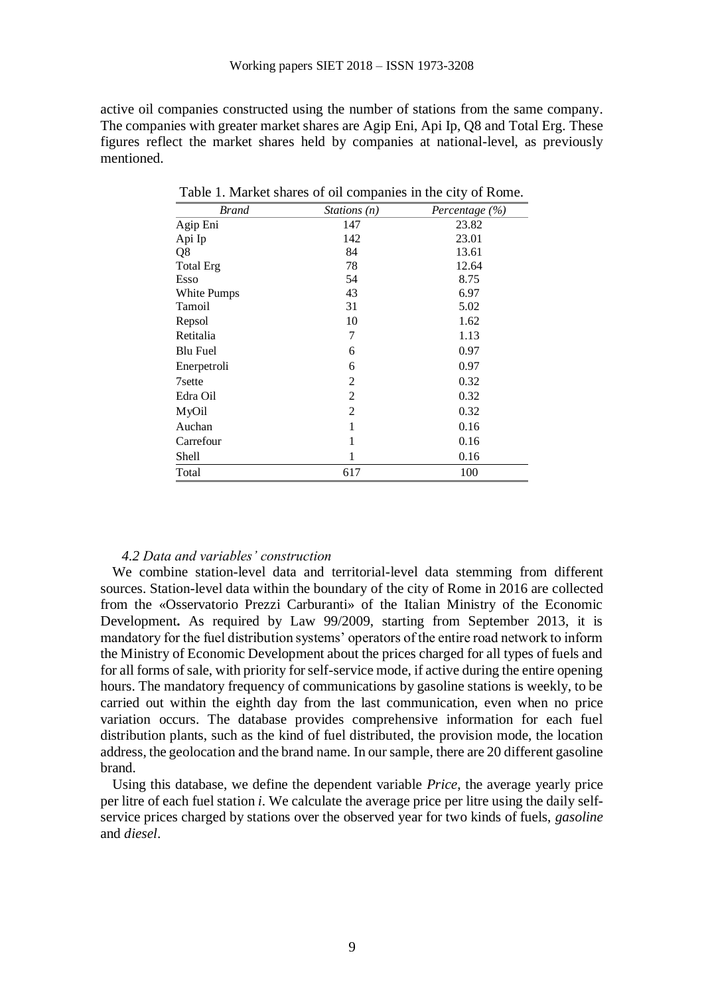active oil companies constructed using the number of stations from the same company. The companies with greater market shares are Agip Eni, Api Ip, Q8 and Total Erg. These figures reflect the market shares held by companies at national-level, as previously mentioned.

| <b>Brand</b>     | Stations $(n)$ | Percentage $(\% )$ |
|------------------|----------------|--------------------|
| Agip Eni         | 147            | 23.82              |
| Api Ip           | 142            | 23.01              |
| Q8               | 84             | 13.61              |
| <b>Total Erg</b> | 78             | 12.64              |
| Esso             | 54             | 8.75               |
| White Pumps      | 43             | 6.97               |
| Tamoil           | 31             | 5.02               |
| Repsol           | 10             | 1.62               |
| Retitalia        | 7              | 1.13               |
| <b>Blu Fuel</b>  | 6              | 0.97               |
| Enerpetroli      | 6              | 0.97               |
| 7sette           | $\overline{2}$ | 0.32               |
| Edra Oil         | $\overline{2}$ | 0.32               |
| MyOil            | $\overline{2}$ | 0.32               |
| Auchan           | 1              | 0.16               |
| Carrefour        | 1              | 0.16               |
| Shell            | 1              | 0.16               |
| Total            | 617            | 100                |

Table 1. Market shares of oil companies in the city of Rome.

### *4.2 Data and variables' construction*

We combine station-level data and territorial-level data stemming from different sources. Station-level data within the boundary of the city of Rome in 2016 are collected from the «Osservatorio Prezzi Carburanti» of the Italian Ministry of the Economic Development**.** As required by Law 99/2009, starting from September 2013, it is mandatory for the fuel distribution systems' operators of the entire road network to inform the Ministry of Economic Development about the prices charged for all types of fuels and for all forms of sale, with priority for self-service mode, if active during the entire opening hours. The mandatory frequency of communications by gasoline stations is weekly, to be carried out within the eighth day from the last communication, even when no price variation occurs. The database provides comprehensive information for each fuel distribution plants, such as the kind of fuel distributed, the provision mode, the location address, the geolocation and the brand name. In our sample, there are 20 different gasoline brand.

Using this database, we define the dependent variable *Price*, the average yearly price per litre of each fuel station *i*. We calculate the average price per litre using the daily selfservice prices charged by stations over the observed year for two kinds of fuels, *gasoline* and *diesel*.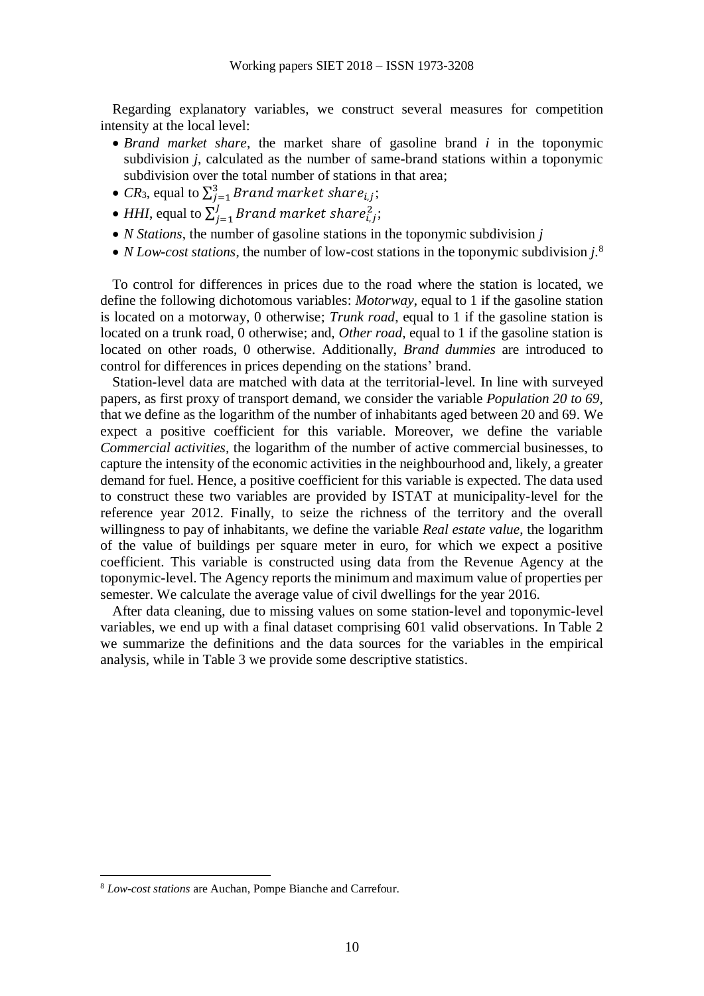Regarding explanatory variables, we construct several measures for competition intensity at the local level:

- *Brand market share*, the market share of gasoline brand *i* in the toponymic subdivision *j*, calculated as the number of same-brand stations within a toponymic subdivision over the total number of stations in that area;
- *CR*<sub>3</sub>, equal to  $\sum_{i=1}^{3} Brand market share_{i,j}$ ;
- *HHI*, equal to  $\sum_{i=1}^{J} Brand$  market share $\sum_{i,j=1}^{2}$  $J_{i=1}$ Brand market share $_{i,j}^2$ ;
- *N Stations*, the number of gasoline stations in the toponymic subdivision *j*
- *N Low-cost stations*, the number of low-cost stations in the toponymic subdivision *j*.<sup>8</sup>

To control for differences in prices due to the road where the station is located, we define the following dichotomous variables: *Motorway*, equal to 1 if the gasoline station is located on a motorway, 0 otherwise; *Trunk road*, equal to 1 if the gasoline station is located on a trunk road, 0 otherwise; and, *Other road*, equal to 1 if the gasoline station is located on other roads, 0 otherwise. Additionally, *Brand dummies* are introduced to control for differences in prices depending on the stations' brand.

Station-level data are matched with data at the territorial-level. In line with surveyed papers, as first proxy of transport demand, we consider the variable *Population 20 to 69*, that we define as the logarithm of the number of inhabitants aged between 20 and 69. We expect a positive coefficient for this variable. Moreover, we define the variable *Commercial activities,* the logarithm of the number of active commercial businesses, to capture the intensity of the economic activities in the neighbourhood and, likely, a greater demand for fuel. Hence, a positive coefficient for this variable is expected. The data used to construct these two variables are provided by ISTAT at municipality-level for the reference year 2012. Finally, to seize the richness of the territory and the overall willingness to pay of inhabitants, we define the variable *Real estate value*, the logarithm of the value of buildings per square meter in euro, for which we expect a positive coefficient. This variable is constructed using data from the Revenue Agency at the toponymic-level. The Agency reports the minimum and maximum value of properties per semester. We calculate the average value of civil dwellings for the year 2016.

After data cleaning, due to missing values on some station-level and toponymic-level variables, we end up with a final dataset comprising 601 valid observations. In Table 2 we summarize the definitions and the data sources for the variables in the empirical analysis, while in Table 3 we provide some descriptive statistics.

1

<sup>8</sup> *Low-cost stations* are Auchan, Pompe Bianche and Carrefour.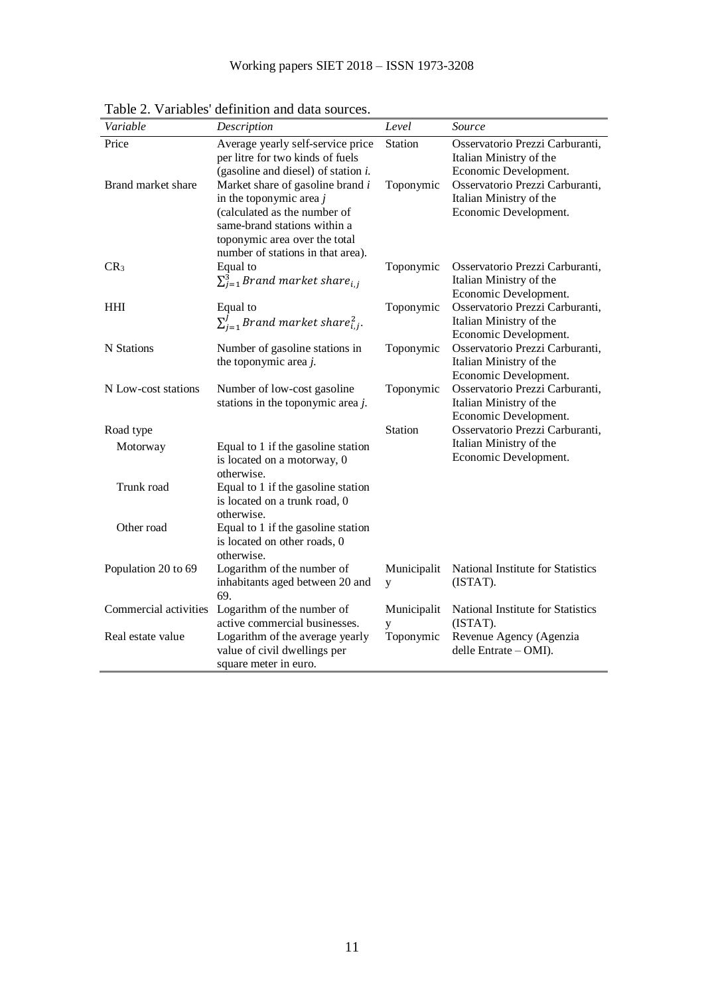| Variable              | Description                                                                                                                                                                                         | Level            | Source                                                                              |
|-----------------------|-----------------------------------------------------------------------------------------------------------------------------------------------------------------------------------------------------|------------------|-------------------------------------------------------------------------------------|
| Price                 | Average yearly self-service price<br>per litre for two kinds of fuels<br>(gasoline and diesel) of station $i$ .                                                                                     | Station          | Osservatorio Prezzi Carburanti,<br>Italian Ministry of the<br>Economic Development. |
| Brand market share    | Market share of gasoline brand i<br>in the toponymic area $j$<br>(calculated as the number of<br>same-brand stations within a<br>toponymic area over the total<br>number of stations in that area). | Toponymic        | Osservatorio Prezzi Carburanti,<br>Italian Ministry of the<br>Economic Development. |
| CR <sub>3</sub>       | Equal to<br>$\sum_{i=1}^{3} Brand$ market share <sub>i,j</sub>                                                                                                                                      | Toponymic        | Osservatorio Prezzi Carburanti,<br>Italian Ministry of the<br>Economic Development. |
| HHI                   | Equal to<br>$\sum_{i=1}^{J} Brand$ market share $_{i,j}^{2}$ .                                                                                                                                      | Toponymic        | Osservatorio Prezzi Carburanti,<br>Italian Ministry of the<br>Economic Development. |
| N Stations            | Number of gasoline stations in<br>the toponymic area j.                                                                                                                                             | Toponymic        | Osservatorio Prezzi Carburanti,<br>Italian Ministry of the<br>Economic Development. |
| N Low-cost stations   | Number of low-cost gasoline<br>stations in the toponymic area $j$ .                                                                                                                                 | Toponymic        | Osservatorio Prezzi Carburanti,<br>Italian Ministry of the<br>Economic Development. |
| Road type             |                                                                                                                                                                                                     | Station          | Osservatorio Prezzi Carburanti,                                                     |
| Motorway              | Equal to 1 if the gasoline station<br>is located on a motorway, 0<br>otherwise.                                                                                                                     |                  | Italian Ministry of the<br>Economic Development.                                    |
| Trunk road            | Equal to 1 if the gasoline station<br>is located on a trunk road, 0<br>otherwise.                                                                                                                   |                  |                                                                                     |
| Other road            | Equal to 1 if the gasoline station<br>is located on other roads, 0<br>otherwise.                                                                                                                    |                  |                                                                                     |
| Population 20 to 69   | Logarithm of the number of<br>inhabitants aged between 20 and<br>69.                                                                                                                                | Municipalit<br>y | National Institute for Statistics<br>(ISTAT).                                       |
| Commercial activities | Logarithm of the number of                                                                                                                                                                          | Municipalit      | National Institute for Statistics                                                   |
| Real estate value     | active commercial businesses.<br>Logarithm of the average yearly<br>value of civil dwellings per<br>square meter in euro.                                                                           | у<br>Toponymic   | (ISTAT).<br>Revenue Agency (Agenzia<br>delle Entrate - OMI).                        |

Table 2. Variables' definition and data sources.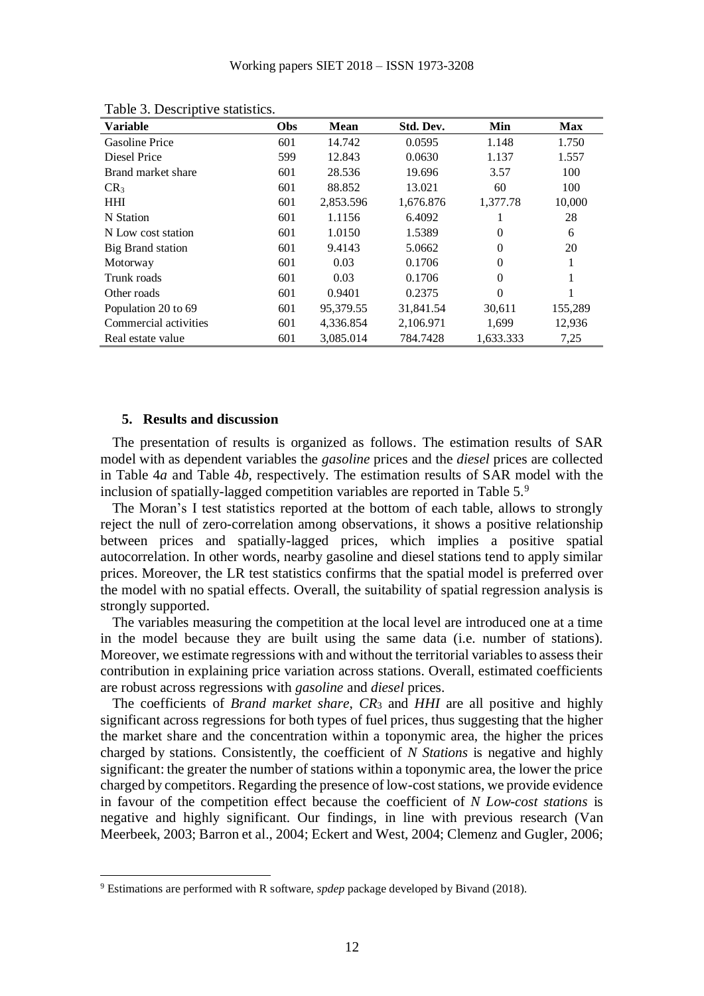| <b>Variable</b>       | Obs | <b>Mean</b> | Std. Dev. | Min       | <b>Max</b> |
|-----------------------|-----|-------------|-----------|-----------|------------|
| <b>Gasoline Price</b> | 601 | 14.742      | 0.0595    | 1.148     | 1.750      |
| Diesel Price          | 599 | 12.843      | 0.0630    | 1.137     | 1.557      |
| Brand market share    | 601 | 28.536      | 19.696    | 3.57      | 100        |
| CR <sub>3</sub>       | 601 | 88.852      | 13.021    | 60        | 100        |
| <b>HHI</b>            | 601 | 2,853.596   | 1,676.876 | 1,377.78  | 10,000     |
| N Station             | 601 | 1.1156      | 6.4092    |           | 28         |
| N Low cost station    | 601 | 1.0150      | 1.5389    | $\Omega$  | 6          |
| Big Brand station     | 601 | 9.4143      | 5.0662    | $\Omega$  | 20         |
| Motorway              | 601 | 0.03        | 0.1706    | $\Omega$  | 1          |
| Trunk roads           | 601 | 0.03        | 0.1706    | $\Omega$  | 1          |
| Other roads           | 601 | 0.9401      | 0.2375    | $\Omega$  | 1          |
| Population 20 to 69   | 601 | 95,379.55   | 31,841.54 | 30,611    | 155,289    |
| Commercial activities | 601 | 4,336.854   | 2,106.971 | 1,699     | 12,936     |
| Real estate value     | 601 | 3,085.014   | 784.7428  | 1,633.333 | 7,25       |

Table 3. Descriptive statistics.

## **5. Results and discussion**

1

The presentation of results is organized as follows. The estimation results of SAR model with as dependent variables the *gasoline* prices and the *diesel* prices are collected in Table 4*a* and Table 4*b*, respectively. The estimation results of SAR model with the inclusion of spatially-lagged competition variables are reported in Table 5.<sup>9</sup>

The Moran's I test statistics reported at the bottom of each table, allows to strongly reject the null of zero-correlation among observations, it shows a positive relationship between prices and spatially-lagged prices, which implies a positive spatial autocorrelation. In other words, nearby gasoline and diesel stations tend to apply similar prices. Moreover, the LR test statistics confirms that the spatial model is preferred over the model with no spatial effects. Overall, the suitability of spatial regression analysis is strongly supported.

The variables measuring the competition at the local level are introduced one at a time in the model because they are built using the same data (i.e. number of stations). Moreover, we estimate regressions with and without the territorial variables to assess their contribution in explaining price variation across stations. Overall, estimated coefficients are robust across regressions with *gasoline* and *diesel* prices.

The coefficients of *Brand market share*, *CR*<sup>3</sup> and *HHI* are all positive and highly significant across regressions for both types of fuel prices, thus suggesting that the higher the market share and the concentration within a toponymic area, the higher the prices charged by stations. Consistently, the coefficient of *N Stations* is negative and highly significant: the greater the number of stations within a toponymic area, the lower the price charged by competitors. Regarding the presence of low-cost stations, we provide evidence in favour of the competition effect because the coefficient of *N Low-cost stations* is negative and highly significant. Our findings, in line with previous research (Van Meerbeek, 2003; Barron et al., 2004; Eckert and West, 2004; Clemenz and Gugler, 2006;

<sup>9</sup> Estimations are performed with R software, *spdep* package developed by Bivand (2018).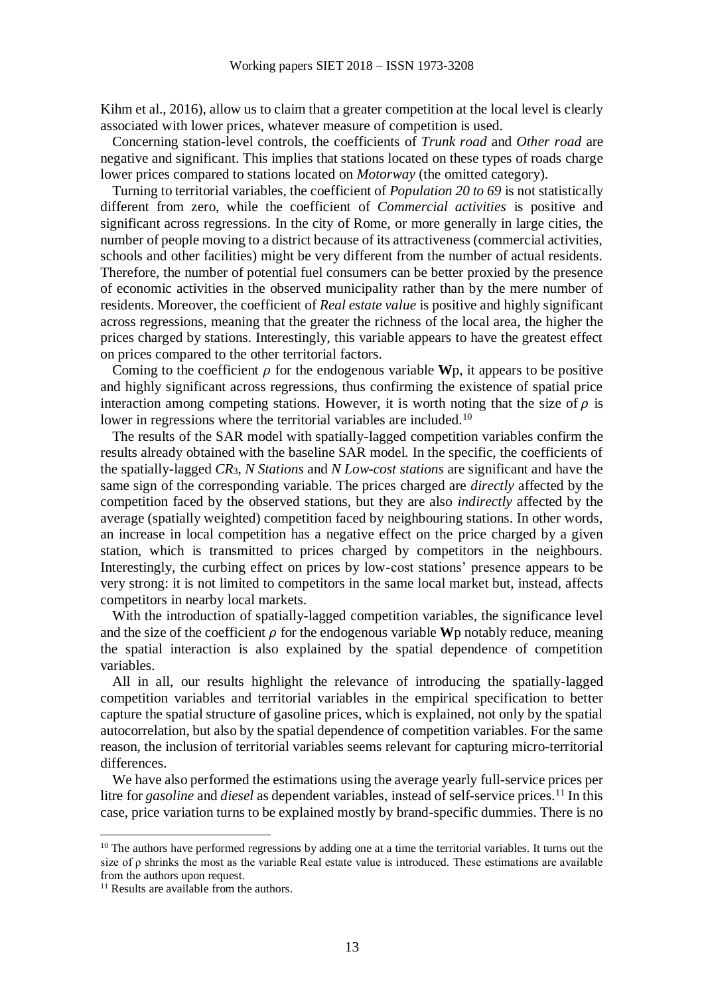Kihm et al., 2016), allow us to claim that a greater competition at the local level is clearly associated with lower prices, whatever measure of competition is used.

Concerning station-level controls, the coefficients of *Trunk road* and *Other road* are negative and significant. This implies that stations located on these types of roads charge lower prices compared to stations located on *Motorway* (the omitted category).

Turning to territorial variables, the coefficient of *Population 20 to 69* is not statistically different from zero, while the coefficient of *Commercial activities* is positive and significant across regressions. In the city of Rome, or more generally in large cities, the number of people moving to a district because of its attractiveness (commercial activities, schools and other facilities) might be very different from the number of actual residents. Therefore, the number of potential fuel consumers can be better proxied by the presence of economic activities in the observed municipality rather than by the mere number of residents. Moreover, the coefficient of *Real estate value* is positive and highly significant across regressions, meaning that the greater the richness of the local area, the higher the prices charged by stations. Interestingly, this variable appears to have the greatest effect on prices compared to the other territorial factors.

Coming to the coefficient  $\rho$  for the endogenous variable **W**p, it appears to be positive and highly significant across regressions, thus confirming the existence of spatial price interaction among competing stations. However, it is worth noting that the size of  $\rho$  is lower in regressions where the territorial variables are included.<sup>10</sup>

The results of the SAR model with spatially-lagged competition variables confirm the results already obtained with the baseline SAR model. In the specific, the coefficients of the spatially-lagged *CR*3, *N Stations* and *N Low-cost stations* are significant and have the same sign of the corresponding variable. The prices charged are *directly* affected by the competition faced by the observed stations, but they are also *indirectly* affected by the average (spatially weighted) competition faced by neighbouring stations. In other words, an increase in local competition has a negative effect on the price charged by a given station, which is transmitted to prices charged by competitors in the neighbours. Interestingly, the curbing effect on prices by low-cost stations' presence appears to be very strong: it is not limited to competitors in the same local market but, instead, affects competitors in nearby local markets.

With the introduction of spatially-lagged competition variables, the significance level and the size of the coefficient  $\rho$  for the endogenous variable **W**p notably reduce, meaning the spatial interaction is also explained by the spatial dependence of competition variables.

All in all, our results highlight the relevance of introducing the spatially-lagged competition variables and territorial variables in the empirical specification to better capture the spatial structure of gasoline prices, which is explained, not only by the spatial autocorrelation, but also by the spatial dependence of competition variables. For the same reason, the inclusion of territorial variables seems relevant for capturing micro-territorial differences.

We have also performed the estimations using the average yearly full-service prices per litre for *gasoline* and *diesel* as dependent variables, instead of self-service prices.<sup>11</sup> In this case, price variation turns to be explained mostly by brand-specific dummies. There is no

<u>.</u>

 $10$  The authors have performed regressions by adding one at a time the territorial variables. It turns out the size of ρ shrinks the most as the variable Real estate value is introduced. These estimations are available from the authors upon request.

<sup>&</sup>lt;sup>11</sup> Results are available from the authors.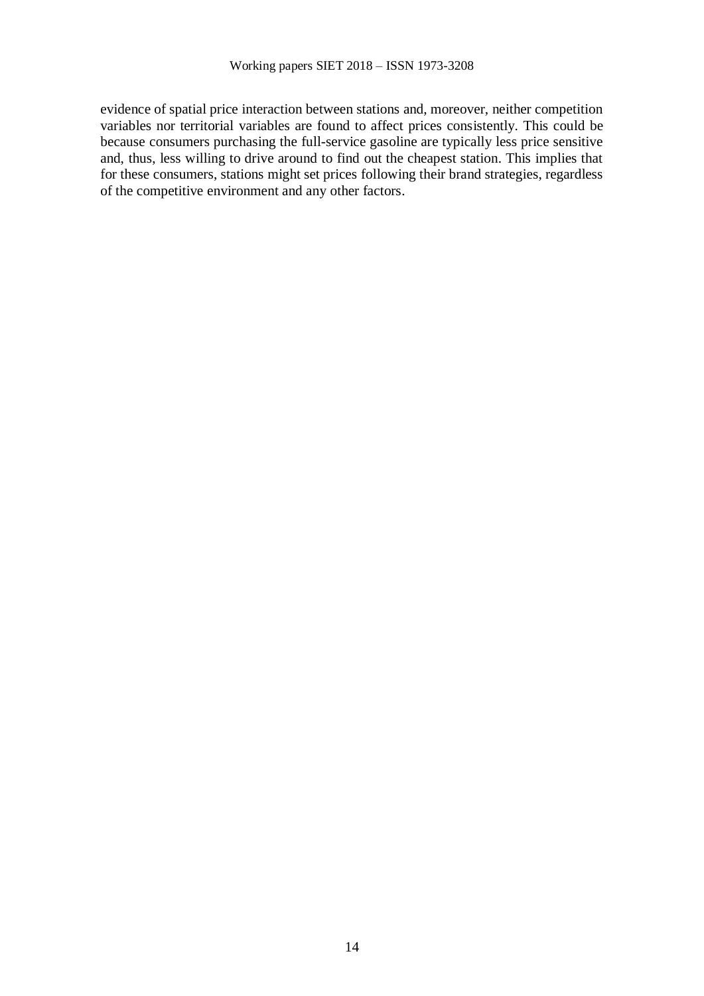evidence of spatial price interaction between stations and, moreover, neither competition variables nor territorial variables are found to affect prices consistently. This could be because consumers purchasing the full-service gasoline are typically less price sensitive and, thus, less willing to drive around to find out the cheapest station. This implies that for these consumers, stations might set prices following their brand strategies, regardless of the competitive environment and any other factors.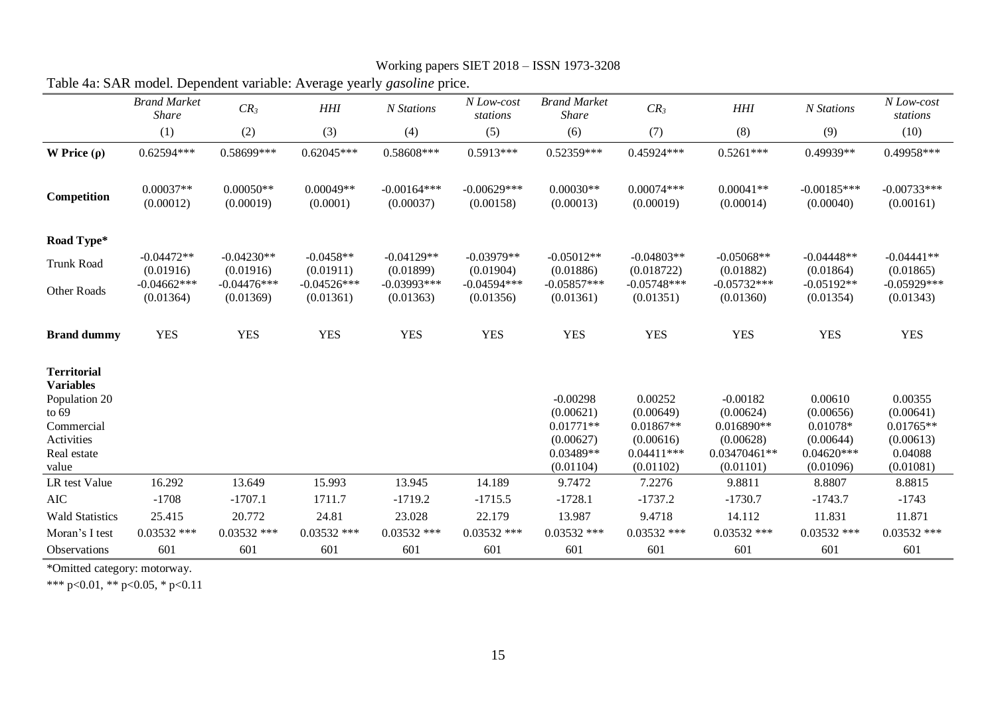|                                        | Table 4a: SAR model. Dependent variable: Average yearly <i>gasoline</i> price. |                            |                            |                            |                            |                                     |                            |                            |                            |                            |
|----------------------------------------|--------------------------------------------------------------------------------|----------------------------|----------------------------|----------------------------|----------------------------|-------------------------------------|----------------------------|----------------------------|----------------------------|----------------------------|
|                                        | <b>Brand Market</b><br><b>Share</b>                                            | $CR_3$                     | $H\!H\!I$                  | N Stations                 | N Low-cost<br>stations     | <b>Brand Market</b><br><b>Share</b> | $CR_3$                     | $H\!H\!I$                  | N Stations                 | N Low-cost<br>stations     |
|                                        | (1)                                                                            | (2)                        | (3)                        | (4)                        | (5)                        | (6)                                 | (7)                        | (8)                        | (9)                        | (10)                       |
| W Price $(\rho)$                       | $0.62594***$                                                                   | 0.58699***                 | $0.62045***$               | 0.58608***                 | $0.5913***$                | 0.52359***                          | 0.45924***                 | $0.5261***$                | 0.49939**                  | 0.49958***                 |
| Competition                            | $0.00037**$<br>(0.00012)                                                       | $0.00050**$<br>(0.00019)   | $0.00049**$<br>(0.0001)    | $-0.00164***$<br>(0.00037) | $-0.00629***$<br>(0.00158) | $0.00030**$<br>(0.00013)            | $0.00074***$<br>(0.00019)  | $0.00041**$<br>(0.00014)   | $-0.00185***$<br>(0.00040) | $-0.00733***$<br>(0.00161) |
| Road Type*                             |                                                                                |                            |                            |                            |                            |                                     |                            |                            |                            |                            |
| Trunk Road                             | $-0.04472**$<br>(0.01916)                                                      | $-0.04230**$<br>(0.01916)  | $-0.0458**$<br>(0.01911)   | $-0.04129**$<br>(0.01899)  | $-0.03979**$<br>(0.01904)  | $-0.05012**$<br>(0.01886)           | $-0.04803**$<br>(0.018722) | $-0.05068**$<br>(0.01882)  | $-0.04448**$<br>(0.01864)  | $-0.04441**$<br>(0.01865)  |
| Other Roads                            | $-0.04662***$<br>(0.01364)                                                     | $-0.04476***$<br>(0.01369) | $-0.04526***$<br>(0.01361) | $-0.03993***$<br>(0.01363) | $-0.04594***$<br>(0.01356) | $-0.05857***$<br>(0.01361)          | $-0.05748***$<br>(0.01351) | $-0.05732***$<br>(0.01360) | $-0.05192**$<br>(0.01354)  | $-0.05929***$<br>(0.01343) |
| <b>Brand dummy</b>                     | <b>YES</b>                                                                     | <b>YES</b>                 | <b>YES</b>                 | <b>YES</b>                 | <b>YES</b>                 | <b>YES</b>                          | <b>YES</b>                 | <b>YES</b>                 | <b>YES</b>                 | <b>YES</b>                 |
| <b>Territorial</b><br><b>Variables</b> |                                                                                |                            |                            |                            |                            |                                     |                            |                            |                            |                            |
| Population 20                          |                                                                                |                            |                            |                            |                            | $-0.00298$                          | 0.00252                    | $-0.00182$                 | 0.00610                    | 0.00355                    |
| to $69$<br>Commercial                  |                                                                                |                            |                            |                            |                            | (0.00621)<br>$0.01771**$            | (0.00649)<br>$0.01867**$   | (0.00624)<br>0.016890**    | (0.00656)<br>0.01078*      | (0.00641)<br>$0.01765**$   |
| Activities                             |                                                                                |                            |                            |                            |                            | (0.00627)                           | (0.00616)                  | (0.00628)                  | (0.00644)                  | (0.00613)                  |
| Real estate                            |                                                                                |                            |                            |                            |                            | 0.03489**                           | $0.04411***$               | 0.03470461**               | $0.04620***$               | 0.04088                    |
| value                                  |                                                                                |                            |                            |                            |                            | (0.01104)                           | (0.01102)                  | (0.01101)                  | (0.01096)                  | (0.01081)                  |
| LR test Value                          | 16.292                                                                         | 13.649                     | 15.993                     | 13.945                     | 14.189                     | 9.7472                              | 7.2276                     | 9.8811                     | 8.8807                     | 8.8815                     |
| <b>AIC</b>                             | $-1708$                                                                        | $-1707.1$                  | 1711.7                     | $-1719.2$                  | $-1715.5$                  | $-1728.1$                           | $-1737.2$                  | $-1730.7$                  | $-1743.7$                  | $-1743$                    |
| <b>Wald Statistics</b>                 | 25.415                                                                         | 20.772                     | 24.81                      | 23.028                     | 22.179                     | 13.987                              | 9.4718                     | 14.112                     | 11.831                     | 11.871                     |
| Moran's I test                         | $0.03532$ ***                                                                  | $0.03532$ ***              | $0.03532$ ***              | $0.03532$ ***              | $0.03532$ ***              | $0.03532$ ***                       | $0.03532$ ***              | $0.03532$ ***              | $0.03532$ ***              | $0.03532$ ***              |
| Observations                           | 601                                                                            | 601                        | 601                        | 601                        | 601                        | 601                                 | 601                        | 601                        | 601                        | 601                        |

Working papers SIET 2018 – ISSN 1973-3208

\*Omitted category: motorway.

\*\*\* p<0.01, \*\* p<0.05, \* p<0.11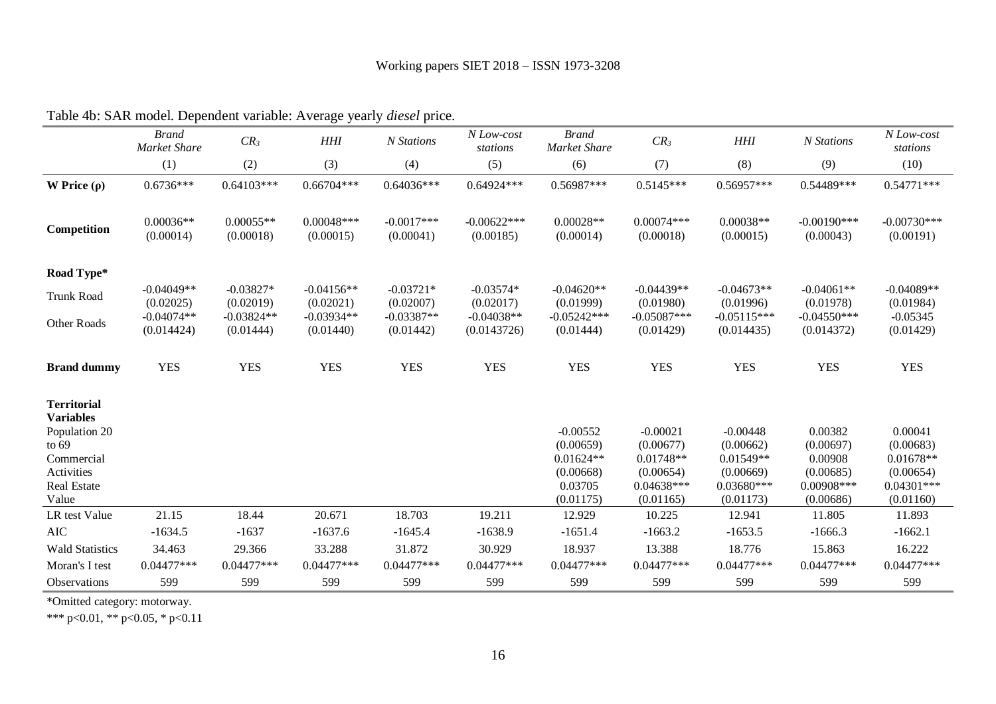|                                                                                                                      | <b>Brand</b><br>Market Share | $CR_3$                    | $H\!H\!I$                 | N Stations                | N Low-cost<br>stations      | <b>Brand</b><br>Market Share                                   | CR <sub>3</sub>                                                   | $H\!H\!I$                                                         | N Stations                                                 | N Low-cost<br>stations                                           |
|----------------------------------------------------------------------------------------------------------------------|------------------------------|---------------------------|---------------------------|---------------------------|-----------------------------|----------------------------------------------------------------|-------------------------------------------------------------------|-------------------------------------------------------------------|------------------------------------------------------------|------------------------------------------------------------------|
|                                                                                                                      | (1)                          | (2)                       | (3)                       | (4)                       | (5)                         | (6)                                                            | (7)                                                               | (8)                                                               | (9)                                                        | (10)                                                             |
| W Price $(\rho)$                                                                                                     | $0.6736***$                  | $0.64103***$              | $0.66704***$              | $0.64036***$              | 0.64924***                  | 0.56987***                                                     | $0.5145***$                                                       | 0.56957***                                                        | 0.54489***                                                 | $0.54771***$                                                     |
| Competition                                                                                                          | $0.00036**$<br>(0.00014)     | $0.00055**$<br>(0.00018)  | $0.00048***$<br>(0.00015) | $-0.0017***$<br>(0.00041) | $-0.00622***$<br>(0.00185)  | $0.00028**$<br>(0.00014)                                       | $0.00074***$<br>(0.00018)                                         | $0.00038**$<br>(0.00015)                                          | $-0.00190$ ***<br>(0.00043)                                | $-0.00730***$<br>(0.00191)                                       |
| Road Type*                                                                                                           |                              |                           |                           |                           |                             |                                                                |                                                                   |                                                                   |                                                            |                                                                  |
| <b>Trunk Road</b>                                                                                                    | $-0.04049**$<br>(0.02025)    | $-0.03827*$<br>(0.02019)  | $-0.04156**$<br>(0.02021) | $-0.03721*$<br>(0.02007)  | $-0.03574*$<br>(0.02017)    | $-0.04620**$<br>(0.01999)                                      | $-0.04439**$<br>(0.01980)                                         | $-0.04673**$<br>(0.01996)                                         | $-0.04061**$<br>(0.01978)                                  | $-0.04089**$<br>(0.01984)                                        |
| Other Roads                                                                                                          | $-0.04074**$<br>(0.014424)   | $-0.03824**$<br>(0.01444) | $-0.03934**$<br>(0.01440) | $-0.03387**$<br>(0.01442) | $-0.04038**$<br>(0.0143726) | $-0.05242***$<br>(0.01444)                                     | $-0.05087***$<br>(0.01429)                                        | $-0.05115***$<br>(0.014435)                                       | $-0.04550***$<br>(0.014372)                                | $-0.05345$<br>(0.01429)                                          |
| <b>Brand dummy</b>                                                                                                   | <b>YES</b>                   | <b>YES</b>                | <b>YES</b>                | <b>YES</b>                | <b>YES</b>                  | <b>YES</b>                                                     | <b>YES</b>                                                        | <b>YES</b>                                                        | <b>YES</b>                                                 | <b>YES</b>                                                       |
| <b>Territorial</b><br><b>Variables</b><br>Population 20<br>to $69$<br>Commercial<br>Activities<br><b>Real Estate</b> |                              |                           |                           |                           |                             | $-0.00552$<br>(0.00659)<br>$0.01624**$<br>(0.00668)<br>0.03705 | $-0.00021$<br>(0.00677)<br>0.01748**<br>(0.00654)<br>$0.04638***$ | $-0.00448$<br>(0.00662)<br>0.01549**<br>(0.00669)<br>$0.03680***$ | 0.00382<br>(0.00697)<br>0.00908<br>(0.00685)<br>0.00908*** | 0.00041<br>(0.00683)<br>$0.01678**$<br>(0.00654)<br>$0.04301***$ |
| Value<br>LR test Value                                                                                               | 21.15                        | 18.44                     | 20.671                    | 18.703                    | 19.211                      | (0.01175)<br>12.929                                            | (0.01165)<br>10.225                                               | (0.01173)<br>12.941                                               | (0.00686)<br>11.805                                        | (0.01160)<br>11.893                                              |
| <b>AIC</b>                                                                                                           | $-1634.5$                    | $-1637$                   | $-1637.6$                 | $-1645.4$                 | $-1638.9$                   | $-1651.4$                                                      | $-1663.2$                                                         | $-1653.5$                                                         | $-1666.3$                                                  | $-1662.1$                                                        |
| <b>Wald Statistics</b>                                                                                               | 34.463                       | 29.366                    | 33.288                    | 31.872                    | 30.929                      | 18.937                                                         | 13.388                                                            | 18.776                                                            | 15.863                                                     | 16.222                                                           |
| Moran's I test                                                                                                       | $0.04477$ ***                | $0.04477***$              | $0.04477***$              | $0.04477$ ***             | $0.04477***$                | $0.04477***$                                                   | $0.04477***$                                                      | $0.04477***$                                                      | $0.04477***$                                               | $0.04477***$                                                     |
| Observations                                                                                                         | 599                          | 599                       | 599                       | 599                       | 599                         | 599                                                            | 599                                                               | 599                                                               | 599                                                        | 599                                                              |

Table 4b: SAR model. Dependent variable: Average yearly *diesel* price.

\*Omitted category: motorway.

\*\*\* p<0.01, \*\* p<0.05, \* p<0.11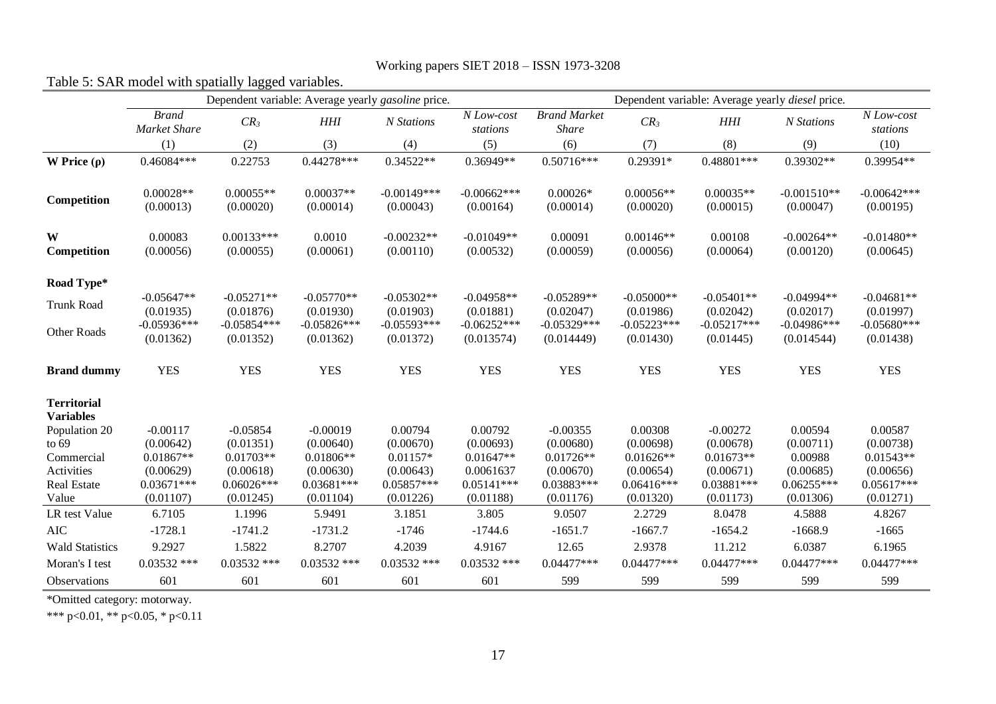| Table 5: SAR model with spatially lagged variables. |                                     |                            |                                                    |                             |                                                         |                                     |                            |                            |                              |                            |
|-----------------------------------------------------|-------------------------------------|----------------------------|----------------------------------------------------|-----------------------------|---------------------------------------------------------|-------------------------------------|----------------------------|----------------------------|------------------------------|----------------------------|
|                                                     |                                     |                            | Dependent variable: Average yearly gasoline price. |                             | Dependent variable: Average yearly <i>diesel</i> price. |                                     |                            |                            |                              |                            |
|                                                     | <b>Brand</b><br><b>Market Share</b> | CR <sub>3</sub>            | <b>HHI</b>                                         | N Stations                  | N Low-cost<br>stations                                  | <b>Brand Market</b><br><b>Share</b> | CR <sub>3</sub>            | HHI                        | N Stations                   | N Low-cost<br>stations     |
|                                                     | (1)                                 | (2)                        | (3)                                                | (4)                         | (5)                                                     | (6)                                 | (7)                        | (8)                        | (9)                          | (10)                       |
| W Price $(\rho)$                                    | 0.46084***                          | 0.22753                    | $0.44278***$                                       | $0.34522**$                 | 0.36949**                                               | $0.50716***$                        | 0.29391*                   | 0.48801***                 | $0.39302**$                  | 0.39954**                  |
| Competition                                         | $0.00028**$<br>(0.00013)            | $0.00055**$<br>(0.00020)   | $0.00037**$<br>(0.00014)                           | $-0.00149$ ***<br>(0.00043) | $-0.00662***$<br>(0.00164)                              | $0.00026*$<br>(0.00014)             | $0.00056**$<br>(0.00020)   | $0.00035**$<br>(0.00015)   | $-0.001510**$<br>(0.00047)   | $-0.00642***$<br>(0.00195) |
| W<br>Competition                                    | 0.00083<br>(0.00056)                | $0.00133***$<br>(0.00055)  | 0.0010<br>(0.00061)                                | $-0.00232**$<br>(0.00110)   | $-0.01049**$<br>(0.00532)                               | 0.00091<br>(0.00059)                | $0.00146**$<br>(0.00056)   | 0.00108<br>(0.00064)       | $-0.00264**$<br>(0.00120)    | $-0.01480**$<br>(0.00645)  |
| Road Type*                                          |                                     |                            |                                                    |                             |                                                         |                                     |                            |                            |                              |                            |
| Trunk Road                                          | $-0.05647**$<br>(0.01935)           | $-0.05271**$<br>(0.01876)  | $-0.05770**$<br>(0.01930)                          | $-0.05302**$<br>(0.01903)   | $-0.04958**$<br>(0.01881)                               | $-0.05289**$<br>(0.02047)           | $-0.05000**$<br>(0.01986)  | $-0.05401**$<br>(0.02042)  | $-0.04994**$<br>(0.02017)    | $-0.04681**$<br>(0.01997)  |
| Other Roads                                         | $-0.05936***$<br>(0.01362)          | $-0.05854***$<br>(0.01352) | $-0.05826***$<br>(0.01362)                         | $-0.05593***$<br>(0.01372)  | $-0.06252***$<br>(0.013574)                             | $-0.05329***$<br>(0.014449)         | $-0.05223***$<br>(0.01430) | $-0.05217***$<br>(0.01445) | $-0.04986$ ***<br>(0.014544) | $-0.05680***$<br>(0.01438) |
| <b>Brand dummy</b>                                  | <b>YES</b>                          | <b>YES</b>                 | <b>YES</b>                                         | <b>YES</b>                  | <b>YES</b>                                              | <b>YES</b>                          | <b>YES</b>                 | <b>YES</b>                 | <b>YES</b>                   | <b>YES</b>                 |
| <b>Territorial</b><br><b>Variables</b>              |                                     |                            |                                                    |                             |                                                         |                                     |                            |                            |                              |                            |
| Population 20                                       | $-0.00117$                          | $-0.05854$                 | $-0.00019$                                         | 0.00794                     | 0.00792                                                 | $-0.00355$                          | 0.00308                    | $-0.00272$                 | 0.00594                      | 0.00587                    |
| to $69$                                             | (0.00642)                           | (0.01351)                  | (0.00640)                                          | (0.00670)                   | (0.00693)                                               | (0.00680)                           | (0.00698)                  | (0.00678)                  | (0.00711)                    | (0.00738)                  |
| Commercial<br>Activities                            | $0.01867**$<br>(0.00629)            | $0.01703**$                | $0.01806**$<br>(0.00630)                           | $0.01157*$                  | $0.01647**$<br>0.0061637                                | $0.01726**$<br>(0.00670)            | $0.01626**$<br>(0.00654)   | $0.01673**$<br>(0.00671)   | 0.00988<br>(0.00685)         | $0.01543**$                |
| Real Estate                                         | $0.03671***$                        | (0.00618)<br>$0.06026***$  | $0.03681***$                                       | (0.00643)<br>$0.05857***$   | $0.05141***$                                            | 0.03883***                          | $0.06416***$               | $0.03881***$               | $0.06255***$                 | (0.00656)<br>$0.05617***$  |
| Value                                               | (0.01107)                           | (0.01245)                  | (0.01104)                                          | (0.01226)                   | (0.01188)                                               | (0.01176)                           | (0.01320)                  | (0.01173)                  | (0.01306)                    | (0.01271)                  |
| LR test Value                                       | 6.7105                              | 1.1996                     | 5.9491                                             | 3.1851                      | 3.805                                                   | 9.0507                              | 2.2729                     | 8.0478                     | 4.5888                       | 4.8267                     |
| <b>AIC</b>                                          | $-1728.1$                           | $-1741.2$                  | $-1731.2$                                          | $-1746$                     | $-1744.6$                                               | $-1651.7$                           | $-1667.7$                  | $-1654.2$                  | $-1668.9$                    | $-1665$                    |
| <b>Wald Statistics</b>                              | 9.2927                              | 1.5822                     | 8.2707                                             | 4.2039                      | 4.9167                                                  | 12.65                               | 2.9378                     | 11.212                     | 6.0387                       | 6.1965                     |
| Moran's I test                                      | $0.03532$ ***                       | $0.03532$ ***              | $0.03532$ ***                                      | $0.03532$ ***               | $0.03532$ ***                                           | $0.04477***$                        | $0.04477***$               | $0.04477***$               | $0.04477***$                 | $0.04477***$               |
| Observations                                        | 601                                 | 601                        | 601                                                | 601                         | 601                                                     | 599                                 | 599                        | 599                        | 599                          | 599                        |

## Working papers SIET 2018 – ISSN 1973-3208

\*Omitted category: motorway.

\*\*\* p<0.01, \*\* p<0.05, \* p<0.11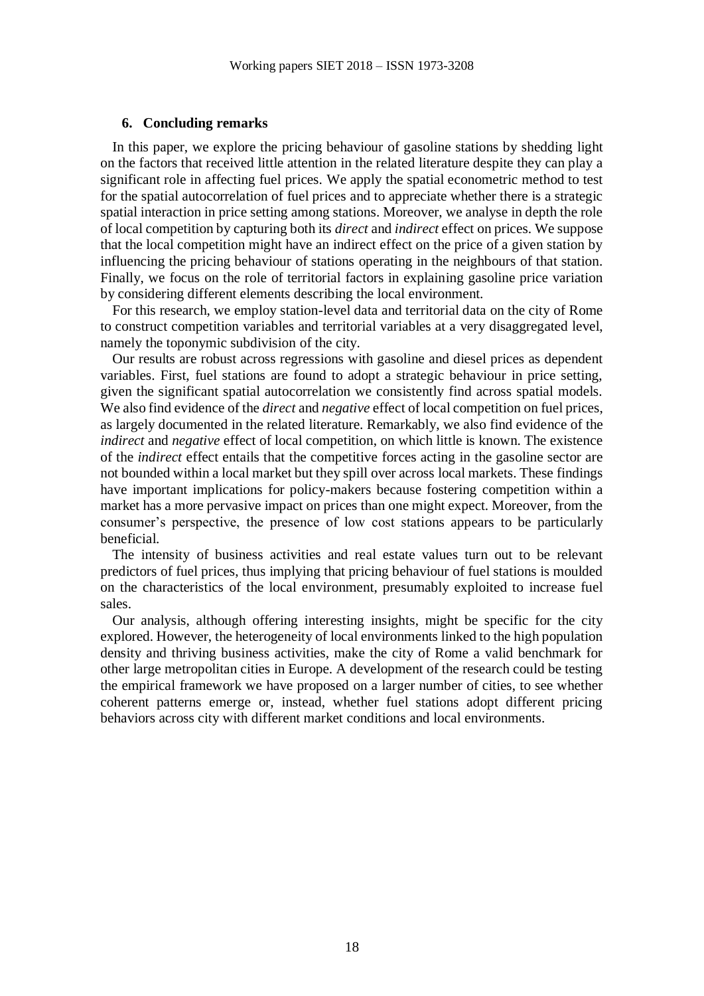## **6. Concluding remarks**

In this paper, we explore the pricing behaviour of gasoline stations by shedding light on the factors that received little attention in the related literature despite they can play a significant role in affecting fuel prices. We apply the spatial econometric method to test for the spatial autocorrelation of fuel prices and to appreciate whether there is a strategic spatial interaction in price setting among stations. Moreover, we analyse in depth the role of local competition by capturing both its *direct* and *indirect* effect on prices. We suppose that the local competition might have an indirect effect on the price of a given station by influencing the pricing behaviour of stations operating in the neighbours of that station. Finally, we focus on the role of territorial factors in explaining gasoline price variation by considering different elements describing the local environment.

For this research, we employ station-level data and territorial data on the city of Rome to construct competition variables and territorial variables at a very disaggregated level, namely the toponymic subdivision of the city.

Our results are robust across regressions with gasoline and diesel prices as dependent variables. First, fuel stations are found to adopt a strategic behaviour in price setting, given the significant spatial autocorrelation we consistently find across spatial models. We also find evidence of the *direct* and *negative* effect of local competition on fuel prices, as largely documented in the related literature. Remarkably, we also find evidence of the *indirect* and *negative* effect of local competition, on which little is known. The existence of the *indirect* effect entails that the competitive forces acting in the gasoline sector are not bounded within a local market but they spill over across local markets. These findings have important implications for policy-makers because fostering competition within a market has a more pervasive impact on prices than one might expect. Moreover, from the consumer's perspective, the presence of low cost stations appears to be particularly beneficial.

The intensity of business activities and real estate values turn out to be relevant predictors of fuel prices, thus implying that pricing behaviour of fuel stations is moulded on the characteristics of the local environment, presumably exploited to increase fuel sales.

Our analysis, although offering interesting insights, might be specific for the city explored. However, the heterogeneity of local environments linked to the high population density and thriving business activities, make the city of Rome a valid benchmark for other large metropolitan cities in Europe. A development of the research could be testing the empirical framework we have proposed on a larger number of cities, to see whether coherent patterns emerge or, instead, whether fuel stations adopt different pricing behaviors across city with different market conditions and local environments.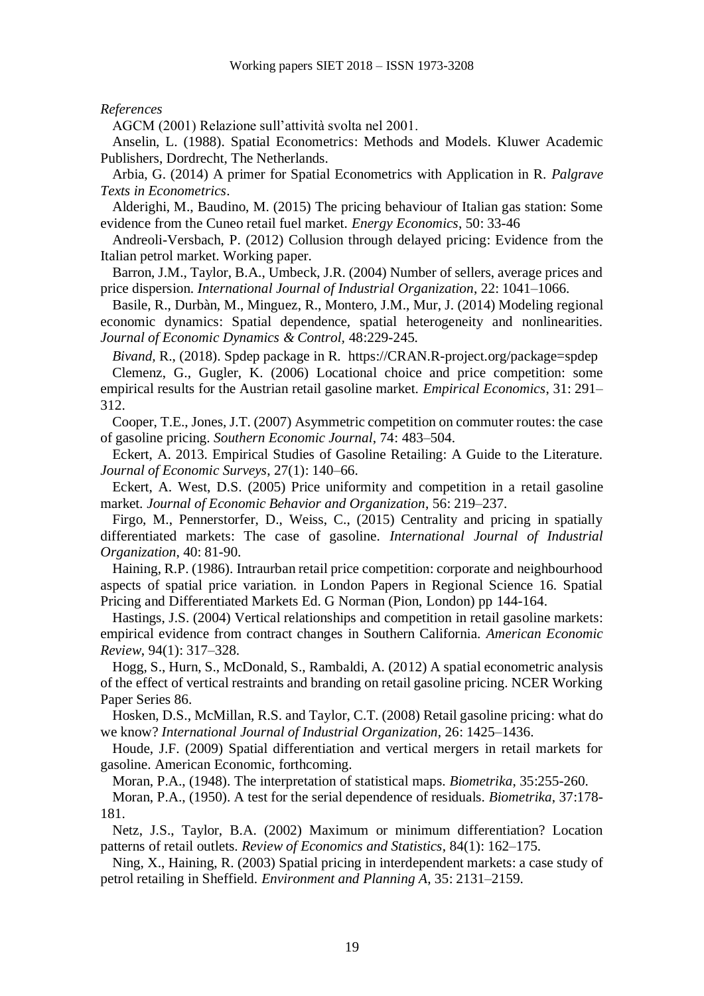*References*

AGCM (2001) Relazione sull'attività svolta nel 2001.

Anselin, L. (1988). Spatial Econometrics: Methods and Models. Kluwer Academic Publishers, Dordrecht, The Netherlands.

Arbia, G. (2014) A primer for Spatial Econometrics with Application in R. *Palgrave Texts in Econometrics*.

Alderighi, M., Baudino, M. (2015) The pricing behaviour of Italian gas station: Some evidence from the Cuneo retail fuel market. *Energy Economics*, 50: 33-46

Andreoli-Versbach, P. (2012) Collusion through delayed pricing: Evidence from the Italian petrol market. Working paper.

Barron, J.M., Taylor, B.A., Umbeck, J.R. (2004) Number of sellers, average prices and price dispersion. *International Journal of Industrial Organization*, 22: 1041–1066.

Basile, R., Durbàn, M., Minguez, R., Montero, J.M., Mur, J. (2014) Modeling regional economic dynamics: Spatial dependence, spatial heterogeneity and nonlinearities. *Journal of Economic Dynamics & Control,* 48:229-245*.*

*Bivand,* R., (2018). Spdep package in R*.* [https://CRAN.R-project.org/package=spdep](https://cran.r-project.org/package=spdep) Clemenz, G., Gugler, K. (2006) Locational choice and price competition: some empirical results for the Austrian retail gasoline market. *Empirical Economics*, 31: 291– 312.

Cooper, T.E., Jones, J.T. (2007) Asymmetric competition on commuter routes: the case of gasoline pricing. *Southern Economic Journal*, 74: 483–504.

Eckert, A. 2013. Empirical Studies of Gasoline Retailing: A Guide to the Literature. *Journal of Economic Surveys*, 27(1): 140–66.

Eckert, A. West, D.S. (2005) Price uniformity and competition in a retail gasoline market. *Journal of Economic Behavior and Organization*, 56: 219–237.

Firgo, M., Pennerstorfer, D., Weiss, C., (2015) Centrality and pricing in spatially differentiated markets: The case of gasoline. *International Journal of Industrial Organization*, 40: 81-90.

Haining, R.P. (1986). Intraurban retail price competition: corporate and neighbourhood aspects of spatial price variation. in London Papers in Regional Science 16. Spatial Pricing and Differentiated Markets Ed. G Norman (Pion, London) pp 144-164.

Hastings, J.S. (2004) Vertical relationships and competition in retail gasoline markets: empirical evidence from contract changes in Southern California. *American Economic Review*, 94(1): 317–328.

Hogg, S., Hurn, S., McDonald, S., Rambaldi, A. (2012) A spatial econometric analysis of the effect of vertical restraints and branding on retail gasoline pricing. NCER Working Paper Series 86.

Hosken, D.S., McMillan, R.S. and Taylor, C.T. (2008) Retail gasoline pricing: what do we know? *International Journal of Industrial Organization*, 26: 1425–1436.

Houde, J.F. (2009) Spatial differentiation and vertical mergers in retail markets for gasoline. American Economic, forthcoming.

Moran, P.A., (1948). The interpretation of statistical maps. *Biometrika*, 35:255-260.

Moran, P.A., (1950). A test for the serial dependence of residuals. *Biometrika*, 37:178- 181.

Netz, J.S., Taylor, B.A. (2002) Maximum or minimum differentiation? Location patterns of retail outlets. *Review of Economics and Statistics*, 84(1): 162–175.

Ning, X., Haining, R. (2003) Spatial pricing in interdependent markets: a case study of petrol retailing in Sheffield. *Environment and Planning A*, 35: 2131–2159.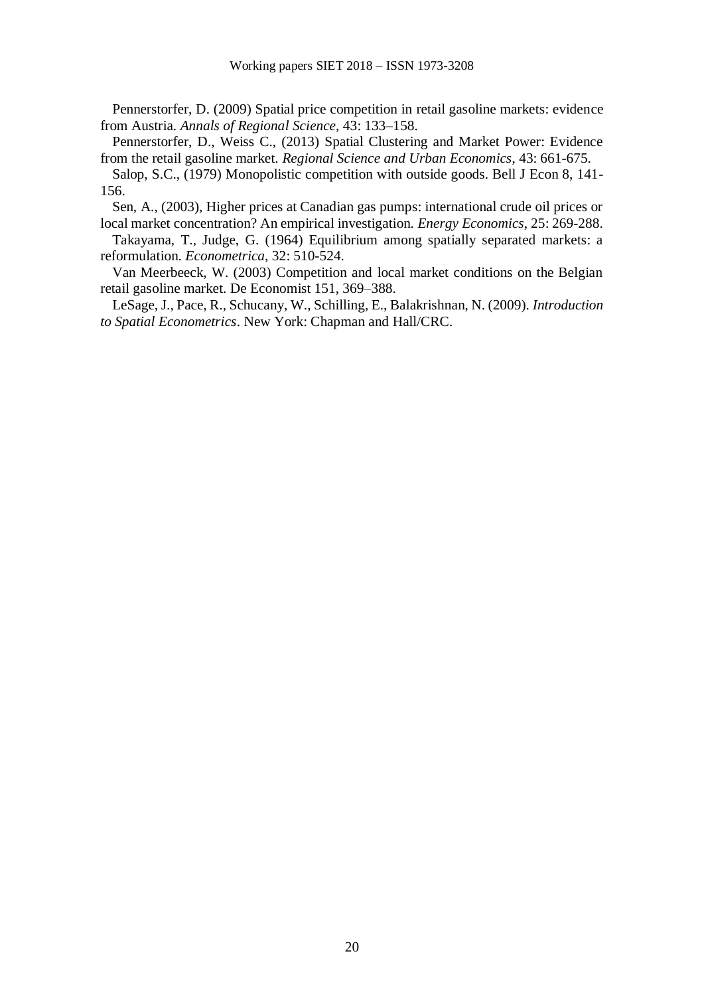Pennerstorfer, D. (2009) Spatial price competition in retail gasoline markets: evidence from Austria. *Annals of Regional Science*, 43: 133–158.

Pennerstorfer, D., Weiss C., (2013) Spatial Clustering and Market Power: Evidence from the retail gasoline market. *Regional Science and Urban Economics*, 43: 661-675.

Salop, S.C., (1979) Monopolistic competition with outside goods. Bell J Econ 8, 141- 156.

Sen, A., (2003), Higher prices at Canadian gas pumps: international crude oil prices or local market concentration? An empirical investigation. *Energy Economics*, 25: 269-288.

Takayama, T., Judge, G. (1964) Equilibrium among spatially separated markets: a reformulation. *Econometrica*, 32: 510-524.

Van Meerbeeck, W. (2003) Competition and local market conditions on the Belgian retail gasoline market. De Economist 151, 369–388.

LeSage, J., Pace, R., Schucany, W., Schilling, E., Balakrishnan, N. (2009). *Introduction to Spatial Econometrics*. New York: Chapman and Hall/CRC.